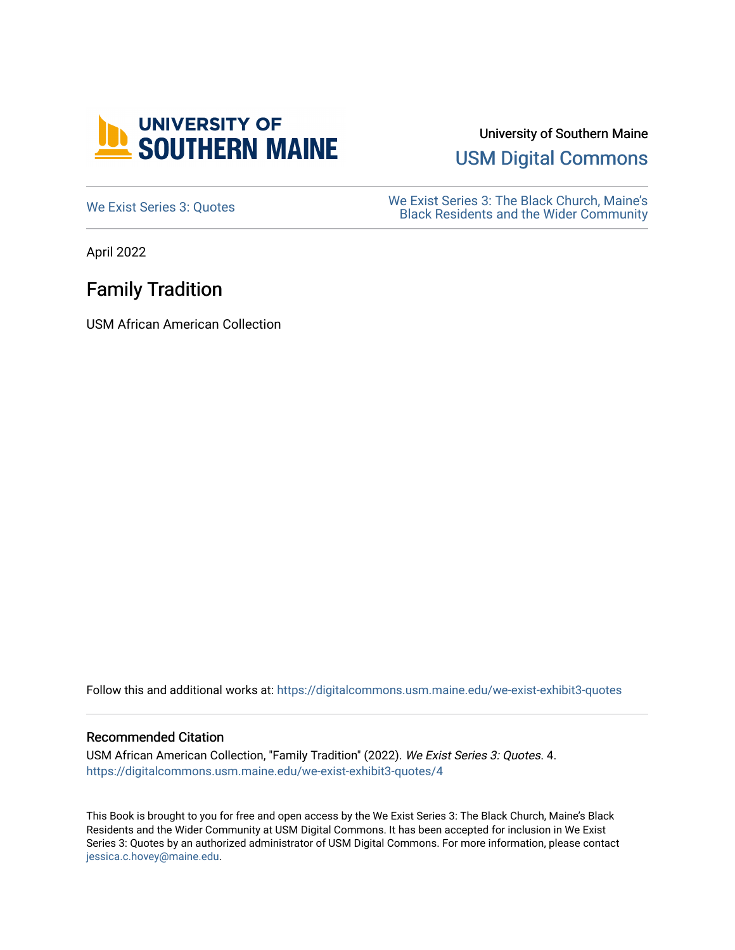

University of Southern Maine

[USM Digital Commons](https://digitalcommons.usm.maine.edu/) 

[We Exist Series 3: Quotes](https://digitalcommons.usm.maine.edu/we-exist-exhibit3-quotes) We Exist Series 3: The Black Church, Maine's<br>
Read Residents and the Wider Community [Black Residents and the Wider Community](https://digitalcommons.usm.maine.edu/we-exist-exhibit3) 

April 2022

## Family Tradition

USM African American Collection

Follow this and additional works at: [https://digitalcommons.usm.maine.edu/we-exist-exhibit3-quotes](https://digitalcommons.usm.maine.edu/we-exist-exhibit3-quotes?utm_source=digitalcommons.usm.maine.edu%2Fwe-exist-exhibit3-quotes%2F4&utm_medium=PDF&utm_campaign=PDFCoverPages) 

#### Recommended Citation

USM African American Collection, "Family Tradition" (2022). We Exist Series 3: Quotes. 4. [https://digitalcommons.usm.maine.edu/we-exist-exhibit3-quotes/4](https://digitalcommons.usm.maine.edu/we-exist-exhibit3-quotes/4?utm_source=digitalcommons.usm.maine.edu%2Fwe-exist-exhibit3-quotes%2F4&utm_medium=PDF&utm_campaign=PDFCoverPages)

This Book is brought to you for free and open access by the We Exist Series 3: The Black Church, Maine's Black Residents and the Wider Community at USM Digital Commons. It has been accepted for inclusion in We Exist Series 3: Quotes by an authorized administrator of USM Digital Commons. For more information, please contact [jessica.c.hovey@maine.edu.](mailto:ian.fowler@maine.edu)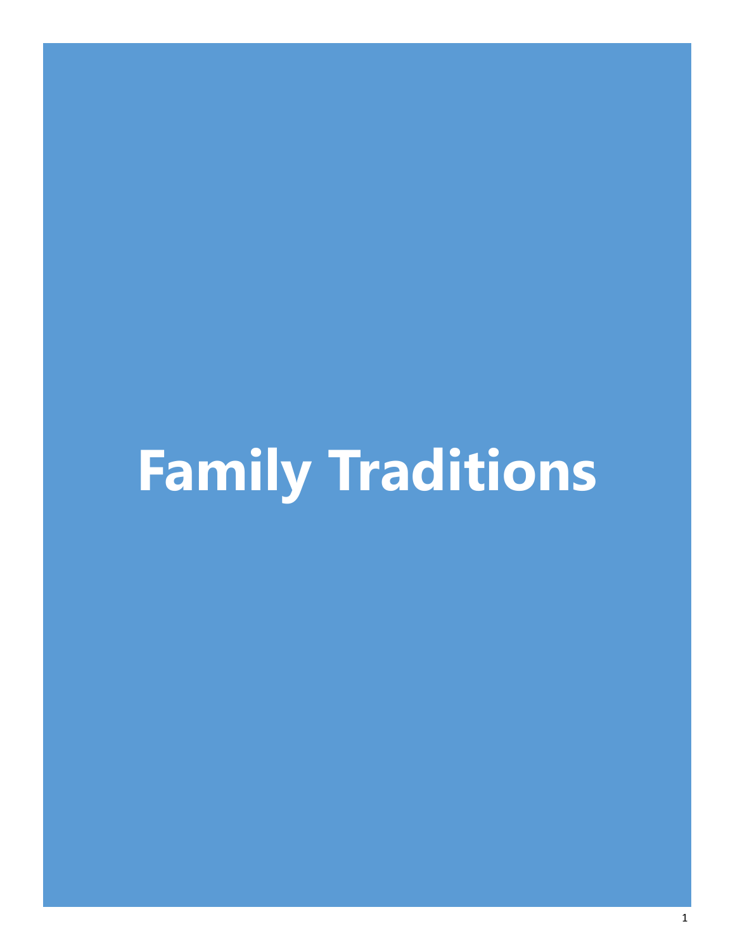# **Family Traditions**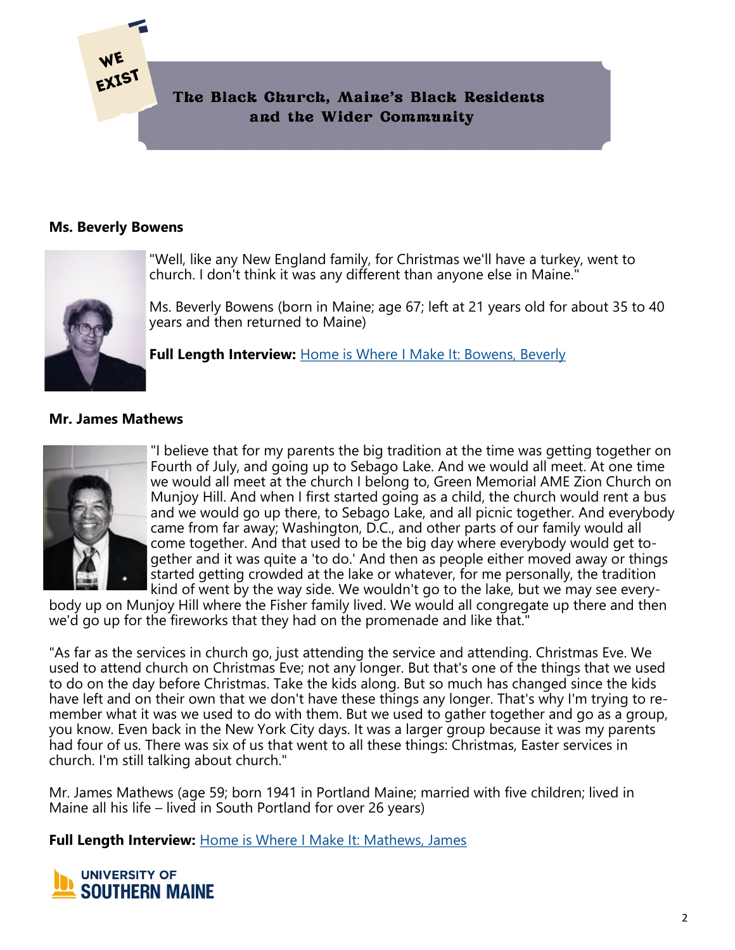

#### **Ms. Beverly Bowens**

EXIST



"Well, like any New England family, for Christmas we'll have a turkey, went to church. I don't think it was any different than anyone else in Maine."

Ms. Beverly Bowens (born in Maine; age 67; left at 21 years old for about 35 to 40 years and then returned to Maine)

**Full Length Interview:** [Home is Where I Make It: Bowens, Beverly](https://digitalcommons.usm.maine.edu/aa_hiwimi/2/)

### **Mr. James Mathews**



"I believe that for my parents the big tradition at the time was getting together on Fourth of July, and going up to Sebago Lake. And we would all meet. At one time we would all meet at the church I belong to, Green Memorial AME Zion Church on Munjoy Hill. And when I first started going as a child, the church would rent a bus and we would go up there, to Sebago Lake, and all picnic together. And everybody came from far away; Washington, D.C., and other parts of our family would all come together. And that used to be the big day where everybody would get together and it was quite a 'to do.' And then as people either moved away or things started getting crowded at the lake or whatever, for me personally, the tradition kind of went by the way side. We wouldn't go to the lake, but we may see every-

body up on Munjoy Hill where the Fisher family lived. We would all congregate up there and then we'd go up for the fireworks that they had on the promenade and like that."

"As far as the services in church go, just attending the service and attending. Christmas Eve. We used to attend church on Christmas Eve; not any longer. But that's one of the things that we used to do on the day before Christmas. Take the kids along. But so much has changed since the kids have left and on their own that we don't have these things any longer. That's why I'm trying to remember what it was we used to do with them. But we used to gather together and go as a group, you know. Even back in the New York City days. It was a larger group because it was my parents had four of us. There was six of us that went to all these things: Christmas, Easter services in church. I'm still talking about church."

Mr. James Mathews (age 59; born 1941 in Portland Maine; married with five children; lived in Maine all his life – lived in South Portland for over 26 years)

**Full Length Interview:** [Home is Where I Make It: Mathews, James](https://digitalcommons.usm.maine.edu/aa_hiwimi/4/)